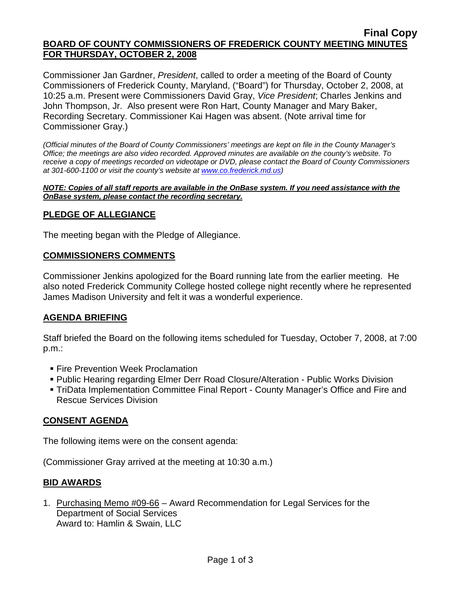### **Final Copy BOARD OF COUNTY COMMISSIONERS OF FREDERICK COUNTY MEETING MINUTES FOR THURSDAY, OCTOBER 2, 2008**

Commissioner Jan Gardner, *President*, called to order a meeting of the Board of County Commissioners of Frederick County, Maryland, ("Board") for Thursday, October 2, 2008, at 10:25 a.m. Present were Commissioners David Gray, *Vice President*; Charles Jenkins and John Thompson, Jr. Also present were Ron Hart, County Manager and Mary Baker, Recording Secretary. Commissioner Kai Hagen was absent. (Note arrival time for Commissioner Gray.)

*(Official minutes of the Board of County Commissioners' meetings are kept on file in the County Manager's Office; the meetings are also video recorded. Approved minutes are available on the county's website. To receive a copy of meetings recorded on videotape or DVD, please contact the Board of County Commissioners at 301-600-1100 or visit the county's website at [www.co.frederick.md.us\)](http://www.co.frederick.md.us/)* 

#### *NOTE: Copies of all staff reports are available in the OnBase system. If you need assistance with the OnBase system, please contact the recording secretary.*

# **PLEDGE OF ALLEGIANCE**

The meeting began with the Pledge of Allegiance.

# **COMMISSIONERS COMMENTS**

Commissioner Jenkins apologized for the Board running late from the earlier meeting. He also noted Frederick Community College hosted college night recently where he represented James Madison University and felt it was a wonderful experience.

# **AGENDA BRIEFING**

Staff briefed the Board on the following items scheduled for Tuesday, October 7, 2008, at 7:00 p.m.:

- **Fire Prevention Week Proclamation**
- Public Hearing regarding Elmer Derr Road Closure/Alteration Public Works Division
- TriData Implementation Committee Final Report County Manager's Office and Fire and Rescue Services Division

# **CONSENT AGENDA**

The following items were on the consent agenda:

(Commissioner Gray arrived at the meeting at 10:30 a.m.)

# **BID AWARDS**

1. Purchasing Memo #09-66 – Award Recommendation for Legal Services for the Department of Social Services Award to: Hamlin & Swain, LLC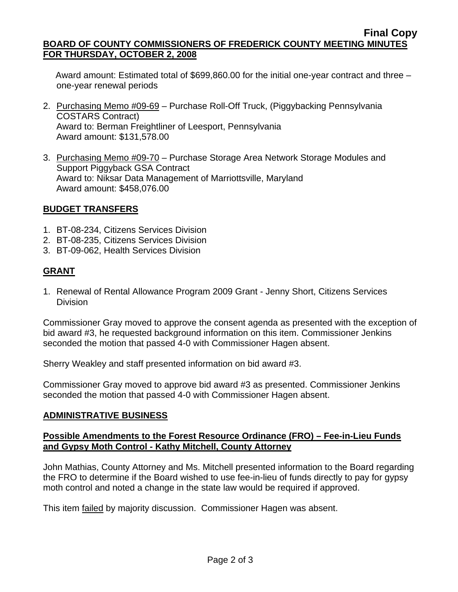### **Final Copy BOARD OF COUNTY COMMISSIONERS OF FREDERICK COUNTY MEETING MINUTES FOR THURSDAY, OCTOBER 2, 2008**

 Award amount: Estimated total of \$699,860.00 for the initial one-year contract and three – one-year renewal periods

- 2. Purchasing Memo #09-69 Purchase Roll-Off Truck, (Piggybacking Pennsylvania COSTARS Contract) Award to: Berman Freightliner of Leesport, Pennsylvania Award amount: \$131,578.00
- 3. Purchasing Memo #09-70 Purchase Storage Area Network Storage Modules and Support Piggyback GSA Contract Award to: Niksar Data Management of Marriottsville, Maryland Award amount: \$458,076.00

# **BUDGET TRANSFERS**

- 1. BT-08-234, Citizens Services Division
- 2. BT-08-235, Citizens Services Division
- 3. BT-09-062, Health Services Division

# **GRANT**

1. Renewal of Rental Allowance Program 2009 Grant - Jenny Short, Citizens Services **Division** 

Commissioner Gray moved to approve the consent agenda as presented with the exception of bid award #3, he requested background information on this item. Commissioner Jenkins seconded the motion that passed 4-0 with Commissioner Hagen absent.

Sherry Weakley and staff presented information on bid award #3.

Commissioner Gray moved to approve bid award #3 as presented. Commissioner Jenkins seconded the motion that passed 4-0 with Commissioner Hagen absent.

# **ADMINISTRATIVE BUSINESS**

### **Possible Amendments to the Forest Resource Ordinance (FRO) – Fee-in-Lieu Funds and Gypsy Moth Control - Kathy Mitchell, County Attorney**

John Mathias, County Attorney and Ms. Mitchell presented information to the Board regarding the FRO to determine if the Board wished to use fee-in-lieu of funds directly to pay for gypsy moth control and noted a change in the state law would be required if approved.

This item failed by majority discussion. Commissioner Hagen was absent.